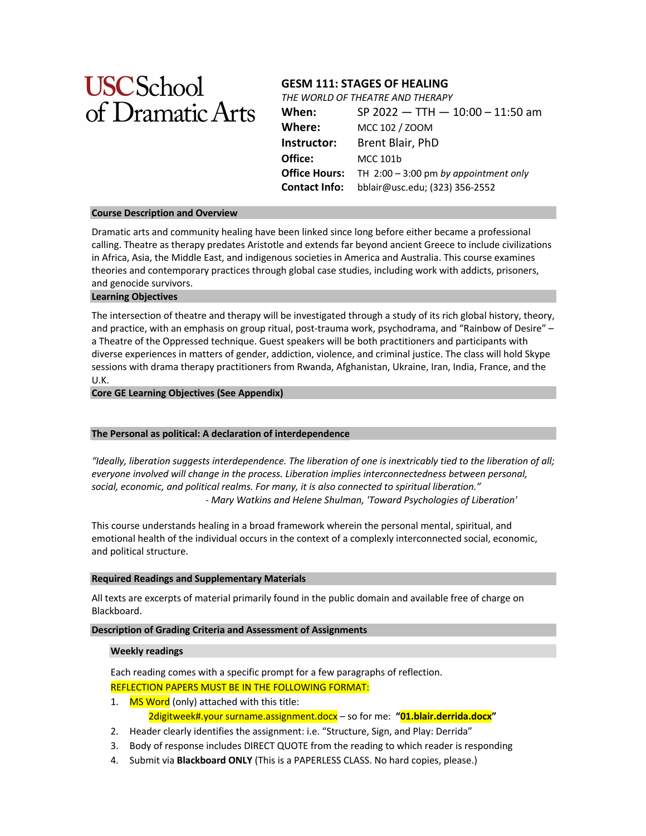# **USCSchool** of Dramatic Arts

#### **GESM 111: STAGES OF HEALING** GESIVI III: STAGES OF HEALING

THE WORLD OF THEATRE AND THERAPY

| When:                | SP 2022 $-$ TTH $-$ 10:00 $-$ 11:50 am  |
|----------------------|-----------------------------------------|
| Where:               | MCC 102 / ZOOM                          |
| Instructor:          | Brent Blair, PhD                        |
| Office:              | MCC 101b                                |
| Office Hours:        | TH $2:00 - 3:00$ pm by appointment only |
| <b>Contact Info:</b> | bblair@usc.edu; (323) 356-2552          |
|                      |                                         |

# **Course Description and Overview**

Dramatic arts and community healing have been linked since long before either became a professional calling. Theatre as therapy predates Aristotle and extends far beyond ancient Greece to include civilizations in Africa, Asia, the Middle East, and indigenous societies in America and Australia. This course examines theories and contemporary practices through global case studies, including work with addicts, prisoners, and genocide survivors. visits with containing the strategrass-root in class will create created, including non-mini-dedice, prochere, where  $\mathbf{r}$  is the community-based of  $\mathbf{r}$  and  $\mathbf{r}$  are a. Angeles  $\mathbf{r}$ 

# **Learning Objectives**

The intersection of theatre and therapy will be investigated through a study of its rich global history, theory, and practice, with an emphasis on group ritual, post-trauma work, psychodrama, and "Rainbow of Desire" – a Theatre of the Oppressed technique. Guest speakers will be both practitioners and participants with diverse experiences in matters of gender, addiction, violence, and criminal justice. The class will hold Skype arrered experienced in matters or geneer, accretion, rioning, and emiliar judicer the ease this lists on, per<br>sessions with drama therapy practitioners from Rwanda, Afghanistan, Ukraine, Iran, India, France, and the U.K. o.n.<br>Core GE Learning Objectives (See Appendix) created with arama therapy practitioners hom twanaa, riighamstan, oficialle, han, maia, rrance, and th

# Africa, the extension of the instructor's community of the instructor's community of the instructor's continuous community of the instructor's continuous continuous community of the instructor's continuous continuous conti

# **The Personal as political: A declaration of interdependence**

*"Ideally, liberation suggests interdependence. The liberation of one is inextricably tied to the liberation of all;*  everyone involved will change in the process. Liberation implies interconnectedness between personal, *social, economic, and political realms. For many, it is also connected to spiritual liberation."*  ar, economic, and ponticar reams: *For marry, it is also connected to spiritual mecration*:<br>Mary Watkins and Helene Shulman, 'Toward Psychologies of Liberation' *something begins its presencing."*

This course understands healing in a broad framework wherein the personal mental, spiritual, and emotional health of the individual occurs in the context of a complexly interconnected social, economic, and political structure. The compression is also that  $\mathbf{r}$  is a control of  $\mathbf{r}$  and  $\mathbf{r}$ 

# **Students** and Supplementary Materials<br>
Students **Students Students Students Students Students Students Students Students Students Students Students Students Students Students Students Student**

All texts are excerpts of material primarily found in the public domain and available free of charge on Blackboard. or documentation status. In this case of the students of  $\alpha$  is the nature  $\alpha$ texts are excerpts of material primarily found in the public domain and available fre

# **Description of Grading Criteria and Assessment of Assignments**

# **Weekly readings All the starts of material of material of material**  $\alpha$  **in the starts of material**  $\alpha$

Each reading comes with a specific prompt for a few paragraphs of reflection. REFLECTION PAPERS MUST BE IN THE FOLLOWING FORMAT:

- 1. MS Word (only) attached with this title: 2digitweek#.your surname.assignment.docx – so for me: **"01.blair.derrida.docx"**
- 2. Header clearly identifies the assignment: i.e. "Structure, Sign, and Play: Derrida"
- 3. Body of response includes DIRECT QUOTE from the reading to which reader is responding
- 4. Submit via **Blackboard ONLY** (This is a PAPERLESS CLASS. No hard copies, please.)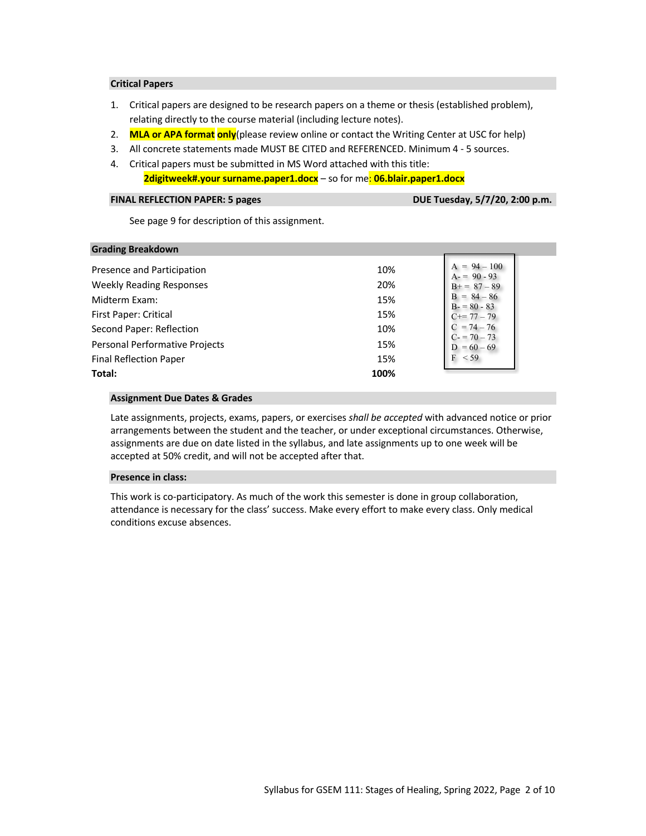# **Critical Papers**

- 1. Critical papers are designed to be research papers on a theme or thesis (established problem), relating directly to the course material (including lecture notes).
- 2. **MLA or APA format only**(please review online or contact the Writing Center at USC for help)
- 3. All concrete statements made MUST BE CITED and REFERENCED. Minimum 4 5 sources.
- 4. Critical papers must be submitted in MS Word attached with this title:

# **2digitweek#.your surname.paper1.docx** – so for me: **06.blair.paper1.docx**

# **FINAL REFLECTION PAPER: 5 pages**

DUE Tuesday, 5/7/20, 2:00 p.m.

See page 9 for description of this assignment.

| <b>Grading Breakdown</b>              |      |                                 |
|---------------------------------------|------|---------------------------------|
| Presence and Participation            | 10%  | $A = 94 - 100$<br>$A = 90 - 93$ |
| <b>Weekly Reading Responses</b>       | 20%  | $B+=87-89$                      |
| Midterm Exam:                         | 15%  | $B = 84 - 86$<br>$B - 80 - 83$  |
| First Paper: Critical                 | 15%  | $C == 77 - 79$                  |
| Second Paper: Reflection              | 10%  | $C = 74 - 76$<br>$C = 70 - 73$  |
| <b>Personal Performative Projects</b> | 15%  | $D = 60 - 69$                   |
| <b>Final Reflection Paper</b>         | 15%  | F<br>$<$ 59                     |
| Total:                                | 100% |                                 |

# **Assignment Due Dates & Grades Each Comes and The Comes and The Comes and The Comes and The Comes and The Comes and The Comes and The Comes and The Comes and The Comes and The Comes and The Comes and The Comes and The Co**

Late assignments, projects, exams, papers, or exercises *shall be accepted* with advanced notice or prior arrangements between the student and the teacher, or under exceptional circumstances. Otherwise, assignments are due on date listed in the syllabus, and late assignments up to one week will be accepted at 50% credit, and will not be accepted after that. **2.** Headers the state  $\frac{1}{2}$  of  $\frac{1}{2}$  and  $\frac{1}{2}$  and  $\frac{1}{2}$  and  $\frac{1}{2}$  and  $\frac{1}{2}$  and  $\frac{1}{2}$  and  $\frac{1}{2}$  and  $\frac{1}{2}$  and  $\frac{1}{2}$  and  $\frac{1}{2}$  and  $\frac{1}{2}$  and  $\frac{1}{2}$  and  $\frac{1}{2}$  and  $\frac{$ 

# **Presence in class: 3.** Bodyof *response in class*: *3.* **Bodyof** *CTC***</u> and the** *reading**s*

This work is co-participatory. As much of the work this semester is done in group collaboration, attendance is necessary for the class' success. Make every effort to make every class. Only medical **1.** Conditions excuse absences. **A.** Critical and  $\alpha$  and  $\alpha$  are search-oriented papers on a papers on a paper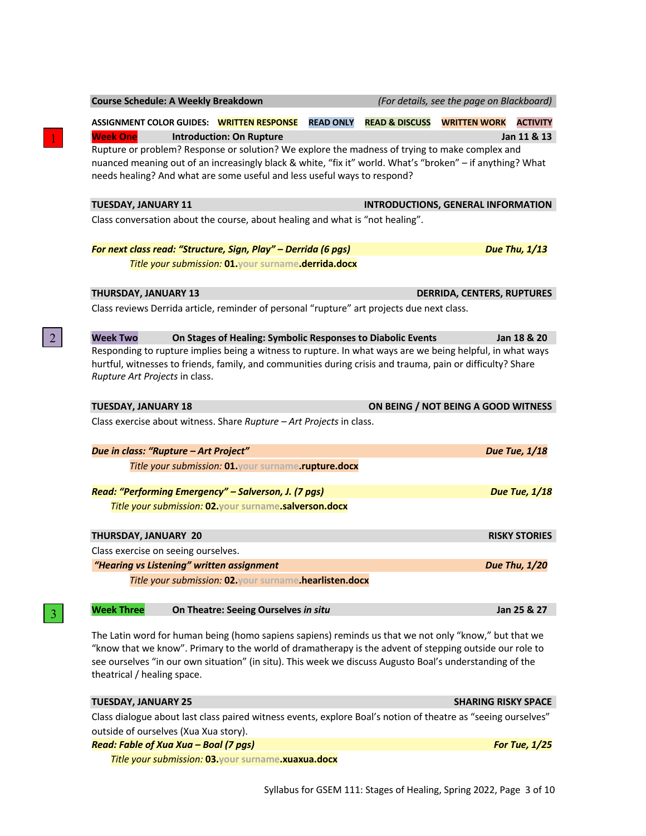| <b>ASSIGNMENT COLOR GUIDES: WRITTEN RESPONSE</b>                                                                                                                                                                                                                                        |                                                             | <b>READ ONLY</b> | <b>READ &amp; DISCUSS</b> | <b>WRITTEN WORK</b>                       | <b>ACTIVITY</b>      |
|-----------------------------------------------------------------------------------------------------------------------------------------------------------------------------------------------------------------------------------------------------------------------------------------|-------------------------------------------------------------|------------------|---------------------------|-------------------------------------------|----------------------|
| <b>Week One</b>                                                                                                                                                                                                                                                                         | <b>Introduction: On Rupture</b>                             |                  |                           |                                           | Jan 11 & 13          |
| Rupture or problem? Response or solution? We explore the madness of trying to make complex and<br>nuanced meaning out of an increasingly black & white, "fix it" world. What's "broken" - if anything? What<br>needs healing? And what are some useful and less useful ways to respond? |                                                             |                  |                           |                                           |                      |
| <b>TUESDAY, JANUARY 11</b>                                                                                                                                                                                                                                                              |                                                             |                  |                           | <b>INTRODUCTIONS, GENERAL INFORMATION</b> |                      |
| Class conversation about the course, about healing and what is "not healing".                                                                                                                                                                                                           |                                                             |                  |                           |                                           |                      |
| For next class read: "Structure, Sign, Play" - Derrida (6 pgs)                                                                                                                                                                                                                          |                                                             |                  |                           |                                           | <b>Due Thu, 1/13</b> |
|                                                                                                                                                                                                                                                                                         | Title your submission: 01.your surname.derrida.docx         |                  |                           |                                           |                      |
| THURSDAY, JANUARY 13                                                                                                                                                                                                                                                                    |                                                             |                  |                           | <b>DERRIDA, CENTERS, RUPTURES</b>         |                      |
| Class reviews Derrida article, reminder of personal "rupture" art projects due next class.                                                                                                                                                                                              |                                                             |                  |                           |                                           |                      |
| <b>Week Two</b>                                                                                                                                                                                                                                                                         | On Stages of Healing: Symbolic Responses to Diabolic Events |                  |                           |                                           | Jan 18 & 20          |
| Responding to rupture implies being a witness to rupture. In what ways are we being helpful, in what ways                                                                                                                                                                               |                                                             |                  |                           |                                           |                      |
| hurtful, witnesses to friends, family, and communities during crisis and trauma, pain or difficulty? Share<br>Rupture Art Projects in class.                                                                                                                                            |                                                             |                  |                           |                                           |                      |
| <b>TUESDAY, JANUARY 18</b>                                                                                                                                                                                                                                                              |                                                             |                  |                           | ON BEING / NOT BEING A GOOD WITNESS       |                      |
| Class exercise about witness. Share Rupture - Art Projects in class.                                                                                                                                                                                                                    |                                                             |                  |                           |                                           |                      |
| Due in class: "Rupture - Art Project"                                                                                                                                                                                                                                                   |                                                             |                  |                           |                                           | <b>Due Tue, 1/18</b> |
|                                                                                                                                                                                                                                                                                         | Title your submission: 01. your surname.rupture.docx        |                  |                           |                                           |                      |
| Read: "Performing Emergency" - Salverson, J. (7 pgs)                                                                                                                                                                                                                                    |                                                             |                  |                           |                                           | <b>Due Tue, 1/18</b> |
| Title your submission: 02. your surname.salverson.docx                                                                                                                                                                                                                                  |                                                             |                  |                           |                                           |                      |
| THURSDAY, JANUARY 20                                                                                                                                                                                                                                                                    |                                                             |                  |                           |                                           | <b>RISKY STORIES</b> |
| Class exercise on seeing ourselves.                                                                                                                                                                                                                                                     |                                                             |                  |                           |                                           |                      |
| "Hearing vs Listening" written assignment                                                                                                                                                                                                                                               |                                                             |                  |                           |                                           | Due Thu, 1/20        |
|                                                                                                                                                                                                                                                                                         | Title your submission: 02. your surname.hearlisten.docx     |                  |                           |                                           |                      |
| <b>Week Three</b>                                                                                                                                                                                                                                                                       | On Theatre: Seeing Ourselves in situ                        |                  |                           |                                           | Jan 25 & 27          |
| The Latin word for human being (homo sapiens sapiens) reminds us that we not only "know," but that we                                                                                                                                                                                   |                                                             |                  |                           |                                           |                      |

**Course Schedule: A Weekly Breakdown** *(For details, see the page on Blackboard)*

1

2

3

"know that we know". Primary to the world of dramatherapy is the advent of stepping outside our role to see ourselves "in our own situation" (in situ). This week we discuss Augusto Boal's understanding of the the

| theatrical / healing space. | סככ טעו סכועכז אוויסטו טאזון אונטאר, וויוס איככג איכ טוסטאס רעצטגט טטטו ט טוועכו געוועוויג טו גווכ            |                            |
|-----------------------------|---------------------------------------------------------------------------------------------------------------|----------------------------|
| TUESDAY. JANUARY 25         |                                                                                                               | <b>SHARING RISKY SPACE</b> |
|                             | Class dialogue about last class paired witness events, explore Boal's notion of theatre as "seeing ourselves" |                            |

outside of ourselves (Xua Xua story). *Read: Fable of Xua Xua – Boal (7 pgs) For Tue, 1/25*

*Title your submission:* **03.your surname.xuaxua.docx**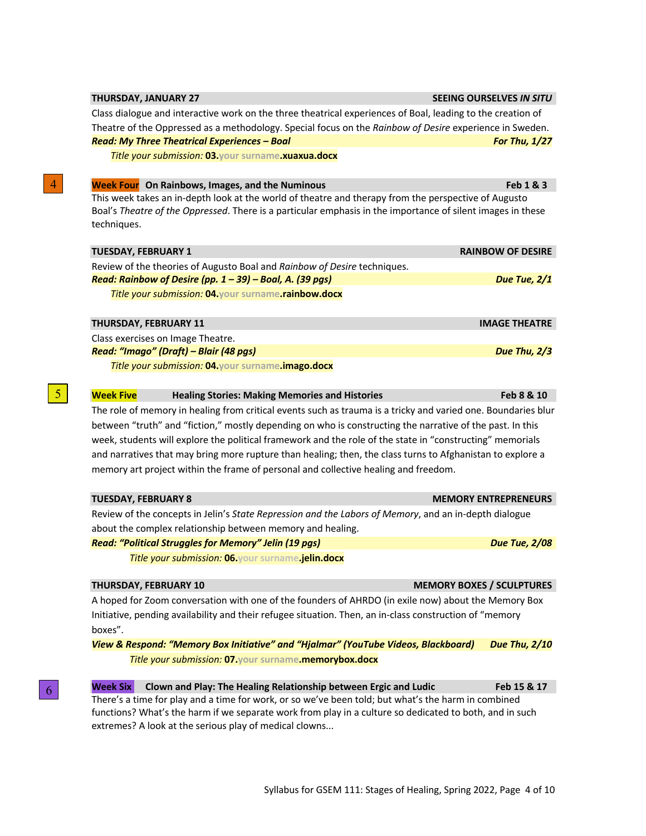| <b>Week Four</b> On Rainbows, Images, and the Numinous                                                                                                                                                         | Feb 1 & 3                        |
|----------------------------------------------------------------------------------------------------------------------------------------------------------------------------------------------------------------|----------------------------------|
| This week takes an in-depth look at the world of theatre and therapy from the perspective of Augusto                                                                                                           |                                  |
| Boal's Theatre of the Oppressed. There is a particular emphasis in the importance of silent images in these                                                                                                    |                                  |
| techniques.                                                                                                                                                                                                    |                                  |
| <b>TUESDAY, FEBRUARY 1</b>                                                                                                                                                                                     | <b>RAINBOW OF DESIRE</b>         |
| Review of the theories of Augusto Boal and Rainbow of Desire techniques.                                                                                                                                       |                                  |
| Read: Rainbow of Desire (pp. 1 - 39) - Boal, A. (39 pgs)                                                                                                                                                       | Due Tue, 2/1                     |
| Title your submission: 04.your surname.rainbow.docx                                                                                                                                                            |                                  |
| THURSDAY, FEBRUARY 11                                                                                                                                                                                          | <b>IMAGE THEATRE</b>             |
| Class exercises on Image Theatre.                                                                                                                                                                              |                                  |
| Read: "Imago" (Draft) - Blair (48 pgs)                                                                                                                                                                         | Due Thu, 2/3                     |
| Title your submission: 04. your surname.imago.docx                                                                                                                                                             |                                  |
| <b>Week Five</b><br><b>Healing Stories: Making Memories and Histories</b>                                                                                                                                      | Feb 8 & 10                       |
| The role of memory in healing from critical events such as trauma is a tricky and varied one. Boundaries blur                                                                                                  |                                  |
| between "truth" and "fiction," mostly depending on who is constructing the narrative of the past. In this                                                                                                      |                                  |
| week, students will explore the political framework and the role of the state in "constructing" memorials                                                                                                      |                                  |
| and narratives that may bring more rupture than healing; then, the class turns to Afghanistan to explore a                                                                                                     |                                  |
| memory art project within the frame of personal and collective healing and freedom.                                                                                                                            |                                  |
| <b>TUESDAY, FEBRUARY 8</b>                                                                                                                                                                                     | <b>MEMORY ENTREPRENEURS</b>      |
| Review of the concepts in Jelin's State Repression and the Labors of Memory, and an in-depth dialogue                                                                                                          |                                  |
| about the complex relationship between memory and healing.                                                                                                                                                     |                                  |
| <b>Read: "Political Struggles for Memory" Jelin (19 pgs)</b>                                                                                                                                                   | <b>Due Tue, 2/08</b>             |
| Title your submission: 06. your surname.jelin.docx                                                                                                                                                             |                                  |
| THURSDAY, FEBRUARY 10                                                                                                                                                                                          | <b>MEMORY BOXES / SCULPTURES</b> |
|                                                                                                                                                                                                                |                                  |
| A hoped for Zoom conversation with one of the founders of AHRDO (in exile now) about the Memory Box                                                                                                            |                                  |
| Initiative, pending availability and their refugee situation. Then, an in-class construction of "memory                                                                                                        |                                  |
| boxes".                                                                                                                                                                                                        |                                  |
| View & Respond: "Memory Box Initiative" and "Hjalmar" (YouTube Videos, Blackboard)                                                                                                                             | <b>Due Thu, 2/10</b>             |
| Title your submission: 07. your surname.memorybox.docx                                                                                                                                                         |                                  |
| <b>Week Six</b><br>Clown and Play: The Healing Relationship between Ergic and Ludic                                                                                                                            | Feb 15 & 17                      |
| There's a time for play and a time for work, or so we've been told; but what's the harm in combined<br>functions? What's the harm if we separate work from play in a culture so dedicated to both, and in such |                                  |

Class dialogue and interactive work on the three theatrical experiences of Boal, leading to the creation of Theatre of the Oppressed as a methodology. Special focus on the *Rainbow of Desire* experience in Sweden. *Read: My Three Theatrical Experiences – Boal For Thu, 1/27*

*Title your submission:* **03.your surname.xuaxua.docx**

5

6

4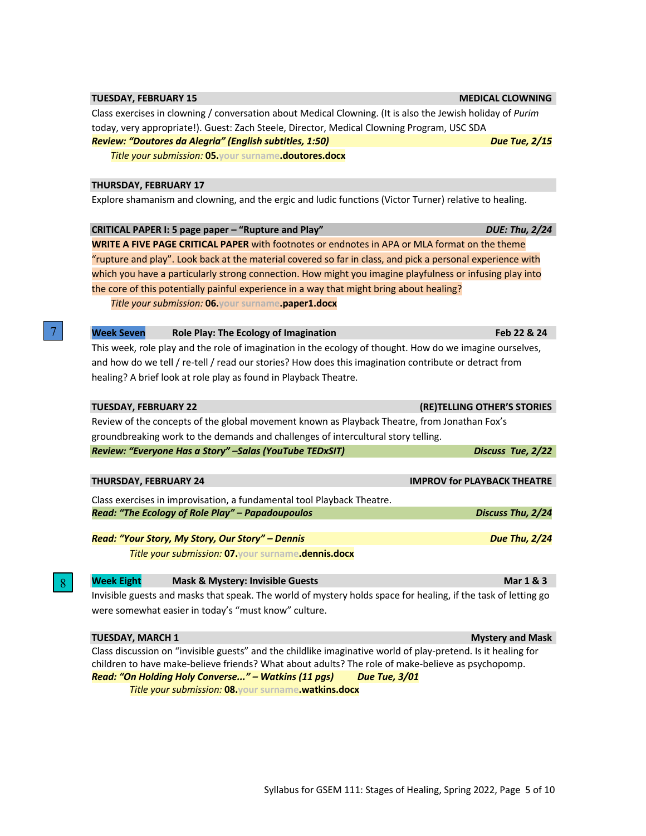# **TUESDAY, FEBRUARY 15 MEDICAL CLOWNING**

Class exercises in clowning / conversation about Medical Clowning. (It is also the Jewish holiday of *Purim* today, very appropriate!). Guest: Zach Steele, Director, Medical Clowning Program, USC SDA *Review: "Doutores da Alegria" (English subtitles, 1:50)* **Due Tue, 2/15 Due Tue, 2/15** 

*Title your submission:* **05.your surname.doutores.docx**

# **THURSDAY, FEBRUARY 17**

Explore shamanism and clowning, and the ergic and ludic functions (Victor Turner) relative to healing.

|                                                  | CRITICAL PAPER I: 5 page paper - "Rupture and Play"                               |                                                                                                                | <b>DUE: Thu, 2/24</b>       |
|--------------------------------------------------|-----------------------------------------------------------------------------------|----------------------------------------------------------------------------------------------------------------|-----------------------------|
|                                                  |                                                                                   | <b>WRITE A FIVE PAGE CRITICAL PAPER</b> with footnotes or endnotes in APA or MLA format on the theme           |                             |
|                                                  |                                                                                   | "rupture and play". Look back at the material covered so far in class, and pick a personal experience with     |                             |
|                                                  |                                                                                   | which you have a particularly strong connection. How might you imagine playfulness or infusing play into       |                             |
|                                                  |                                                                                   | the core of this potentially painful experience in a way that might bring about healing?                       |                             |
|                                                  | Title your submission: 06. your surname.paper1.docx                               |                                                                                                                |                             |
|                                                  |                                                                                   |                                                                                                                |                             |
| <b>Week Seven</b>                                | Role Play: The Ecology of Imagination                                             |                                                                                                                | Feb 22 & 24                 |
|                                                  |                                                                                   | This week, role play and the role of imagination in the ecology of thought. How do we imagine ourselves,       |                             |
|                                                  |                                                                                   | and how do we tell / re-tell / read our stories? How does this imagination contribute or detract from          |                             |
|                                                  | healing? A brief look at role play as found in Playback Theatre.                  |                                                                                                                |                             |
|                                                  |                                                                                   |                                                                                                                |                             |
| <b>TUESDAY, FEBRUARY 22</b>                      |                                                                                   |                                                                                                                | (RE)TELLING OTHER'S STORIES |
|                                                  |                                                                                   | Review of the concepts of the global movement known as Playback Theatre, from Jonathan Fox's                   |                             |
|                                                  | groundbreaking work to the demands and challenges of intercultural story telling. |                                                                                                                |                             |
|                                                  | Review: "Everyone Has a Story" - Salas (YouTube TEDxSIT)                          |                                                                                                                | Discuss Tue, 2/22           |
|                                                  |                                                                                   |                                                                                                                |                             |
| <b>THURSDAY, FEBRUARY 24</b>                     |                                                                                   | <b>IMPROV for PLAYBACK THEATRE</b>                                                                             |                             |
|                                                  | Class exercises in improvisation, a fundamental tool Playback Theatre.            |                                                                                                                |                             |
|                                                  | Read: "The Ecology of Role Play" - Papadoupoulos                                  |                                                                                                                | Discuss Thu, 2/24           |
|                                                  |                                                                                   |                                                                                                                |                             |
| Read: "Your Story, My Story, Our Story" - Dennis |                                                                                   |                                                                                                                | <b>Due Thu, 2/24</b>        |
|                                                  | Title your submission: 07. your surname.dennis.docx                               |                                                                                                                |                             |
|                                                  |                                                                                   |                                                                                                                |                             |
| <b>Week Eight</b>                                | <b>Mask &amp; Mystery: Invisible Guests</b>                                       |                                                                                                                | Mar 1 & 3                   |
|                                                  |                                                                                   | Invisible guests and masks that speak. The world of mystery holds space for healing, if the task of letting go |                             |
|                                                  | were somewhat easier in today's "must know" culture.                              |                                                                                                                |                             |
|                                                  |                                                                                   |                                                                                                                |                             |
| <b>TUESDAY, MARCH 1</b>                          |                                                                                   |                                                                                                                | <b>Mystery and Mask</b>     |

Class discussion on "invisible guests" and the childlike imaginative world of play-pretend. Is it healing for children to have make-believe friends? What about adults? The role of make-believe as psychopomp. *Read: "On Holding Holy Converse..." – Watkins (11 pgs) Due Tue, 3/01*

*Title your submission:* **08.your surname.watkins.docx**

8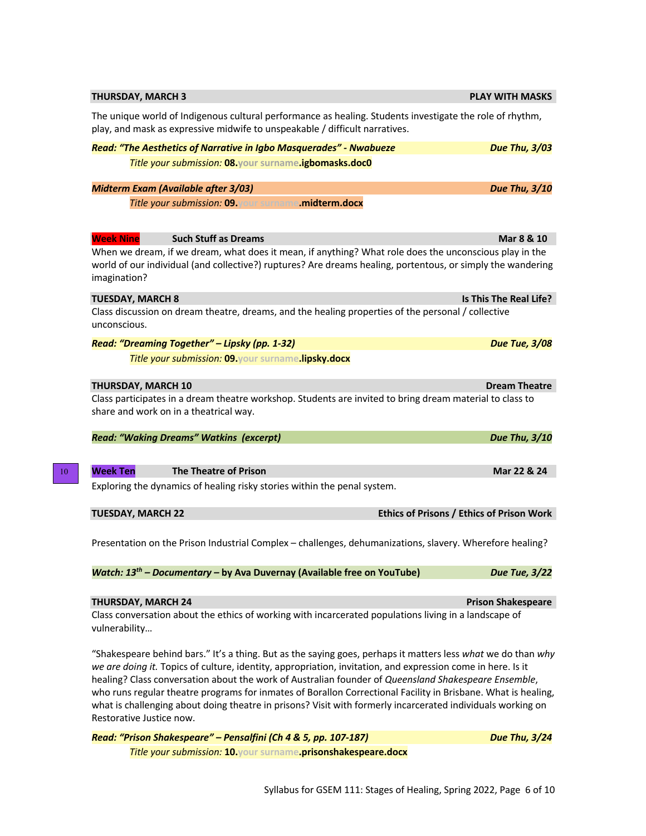| <b>THURSDAY, MARCH 3</b>                                                                                                                                                                                                                                                                                                                                                                                                                                                                                                                                                                        | <b>PLAY WITH MASKS</b>                    |
|-------------------------------------------------------------------------------------------------------------------------------------------------------------------------------------------------------------------------------------------------------------------------------------------------------------------------------------------------------------------------------------------------------------------------------------------------------------------------------------------------------------------------------------------------------------------------------------------------|-------------------------------------------|
| The unique world of Indigenous cultural performance as healing. Students investigate the role of rhythm,<br>play, and mask as expressive midwife to unspeakable / difficult narratives.                                                                                                                                                                                                                                                                                                                                                                                                         |                                           |
| Read: "The Aesthetics of Narrative in Igbo Masquerades" - Nwabueze                                                                                                                                                                                                                                                                                                                                                                                                                                                                                                                              | <b>Due Thu, 3/03</b>                      |
| Title your submission: 08.your surname.igbomasks.doc0                                                                                                                                                                                                                                                                                                                                                                                                                                                                                                                                           |                                           |
| <b>Midterm Exam (Available after 3/03)</b>                                                                                                                                                                                                                                                                                                                                                                                                                                                                                                                                                      | Due Thu, 3/10                             |
| Title your submission: 09. your surname.midterm.docx                                                                                                                                                                                                                                                                                                                                                                                                                                                                                                                                            |                                           |
| <b>Week Nine</b><br><b>Such Stuff as Dreams</b>                                                                                                                                                                                                                                                                                                                                                                                                                                                                                                                                                 | Mar 8 & 10                                |
| When we dream, if we dream, what does it mean, if anything? What role does the unconscious play in the<br>world of our individual (and collective?) ruptures? Are dreams healing, portentous, or simply the wandering<br>imagination?                                                                                                                                                                                                                                                                                                                                                           |                                           |
| <b>TUESDAY, MARCH 8</b>                                                                                                                                                                                                                                                                                                                                                                                                                                                                                                                                                                         | Is This The Real Life?                    |
| Class discussion on dream theatre, dreams, and the healing properties of the personal / collective<br>unconscious.                                                                                                                                                                                                                                                                                                                                                                                                                                                                              |                                           |
| Read: "Dreaming Together" - Lipsky (pp. 1-32)                                                                                                                                                                                                                                                                                                                                                                                                                                                                                                                                                   | <b>Due Tue, 3/08</b>                      |
| Title your submission: 09. your surname.lipsky.docx                                                                                                                                                                                                                                                                                                                                                                                                                                                                                                                                             |                                           |
| <b>THURSDAY, MARCH 10</b>                                                                                                                                                                                                                                                                                                                                                                                                                                                                                                                                                                       | <b>Dream Theatre</b>                      |
| Class participates in a dream theatre workshop. Students are invited to bring dream material to class to<br>share and work on in a theatrical way.                                                                                                                                                                                                                                                                                                                                                                                                                                              |                                           |
| <b>Read: "Waking Dreams" Watkins (excerpt)</b>                                                                                                                                                                                                                                                                                                                                                                                                                                                                                                                                                  | Due Thu, 3/10                             |
| <b>Week Ten</b><br><b>The Theatre of Prison</b>                                                                                                                                                                                                                                                                                                                                                                                                                                                                                                                                                 | Mar 22 & 24                               |
| Exploring the dynamics of healing risky stories within the penal system.                                                                                                                                                                                                                                                                                                                                                                                                                                                                                                                        |                                           |
| <b>TUESDAY, MARCH 22</b>                                                                                                                                                                                                                                                                                                                                                                                                                                                                                                                                                                        | Ethics of Prisons / Ethics of Prison Work |
| Presentation on the Prison Industrial Complex - challenges, dehumanizations, slavery. Wherefore healing?                                                                                                                                                                                                                                                                                                                                                                                                                                                                                        |                                           |
| Watch: 13 <sup>th</sup> - Documentary - by Ava Duvernay (Available free on YouTube)                                                                                                                                                                                                                                                                                                                                                                                                                                                                                                             | <b>Due Tue, 3/22</b>                      |
| <b>THURSDAY, MARCH 24</b>                                                                                                                                                                                                                                                                                                                                                                                                                                                                                                                                                                       | <b>Prison Shakespeare</b>                 |
| Class conversation about the ethics of working with incarcerated populations living in a landscape of<br>vulnerability                                                                                                                                                                                                                                                                                                                                                                                                                                                                          |                                           |
| "Shakespeare behind bars." It's a thing. But as the saying goes, perhaps it matters less what we do than why<br>we are doing it. Topics of culture, identity, appropriation, invitation, and expression come in here. Is it<br>healing? Class conversation about the work of Australian founder of Queensland Shakespeare Ensemble,<br>who runs regular theatre programs for inmates of Borallon Correctional Facility in Brisbane. What is healing,<br>what is challenging about doing theatre in prisons? Visit with formerly incarcerated individuals working on<br>Restorative Justice now. |                                           |
| Read: "Prison Shakespeare" - Pensalfini (Ch 4 & 5, pp. 107-187)                                                                                                                                                                                                                                                                                                                                                                                                                                                                                                                                 | <b>Due Thu, 3/24</b>                      |
| Title your submission: 10. your surname.prisonshakespeare.docx                                                                                                                                                                                                                                                                                                                                                                                                                                                                                                                                  |                                           |

10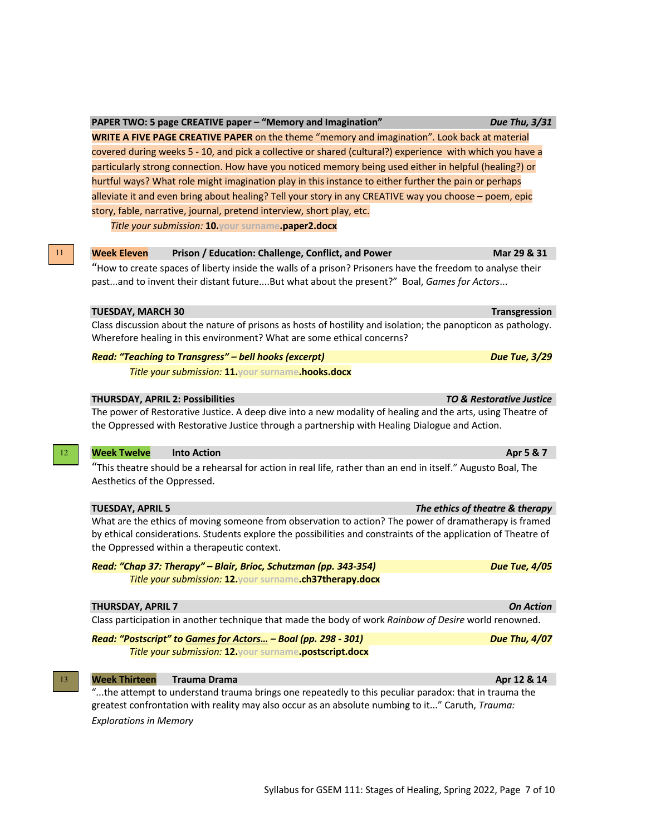11

# **Week Eleven Prison / Education: Challenge, Conflict, and Power <b>Marr 29 Marr 29 & 31**

"How to create spaces of liberty inside the walls of a prison? Prisoners have the freedom to analyse their past...and to invent their distant future....But what about the present?" Boal, *Games for Actors*...

# **TUESDAY, MARCH 30 Transgression**

Class discussion about the nature of prisons as hosts of hostility and isolation; the panopticon as pathology. Wherefore healing in this environment? What are some ethical concerns?

# *Read: "Teaching to Transgress" – bell hooks (excerpt) Due Tue, 3/29*

*Title your submission:* **11.your surname.hooks.docx**

# **THURSDAY, APRIL 2: Possibilities** *TO & Restorative Justice*

The power of Restorative Justice. A deep dive into a new modality of healing and the arts, using Theatre of the Oppressed with Restorative Justice through a partnership with Healing Dialogue and Action.

# **Week Twelve Into Action Apr 5 & 7**

"This theatre should be a rehearsal for action in real life, rather than an end in itself." Augusto Boal, The Aesthetics of the Oppressed.

|  | <b>TUESDAY, APRIL 5</b> |  |
|--|-------------------------|--|

What are the ethics of moving someone from observation to action? The power of dramatherapy is framed by ethical considerations. Students explore the possibilities and constraints of the application of Theatre of the Oppressed within a therapeutic context.

*Read: "Chap 37: Therapy" – Blair, Brioc, Schutzman (pp. 343-354)* Due Tue, 4/05<sup>1</sup> *Title your submission:* **12.your surname.ch37therapy.docx**

# **THURSDAY, APRIL 7** *On Action*

Class participation in another technique that made the body of work *Rainbow of Desire* world renowned.

*Read: "Postscript" to Games for Actors… – Boal (pp. 298 - 301) Due Thu, 4/07 Title your submission:* **12.your surname.postscript.docx**

#### *Week Thirteen* **<b>Trauma Drama Apr 12** & 14

"...the attempt to understand trauma brings one repeatedly to this peculiar paradox: that in trauma the greatest confrontation with reality may also occur as an absolute numbing to it..." Caruth, *Trauma: Explorations in Memory*

**The ethics of theatre & therapy** 





*Title your submission:* **10.your surname.paper2.docx**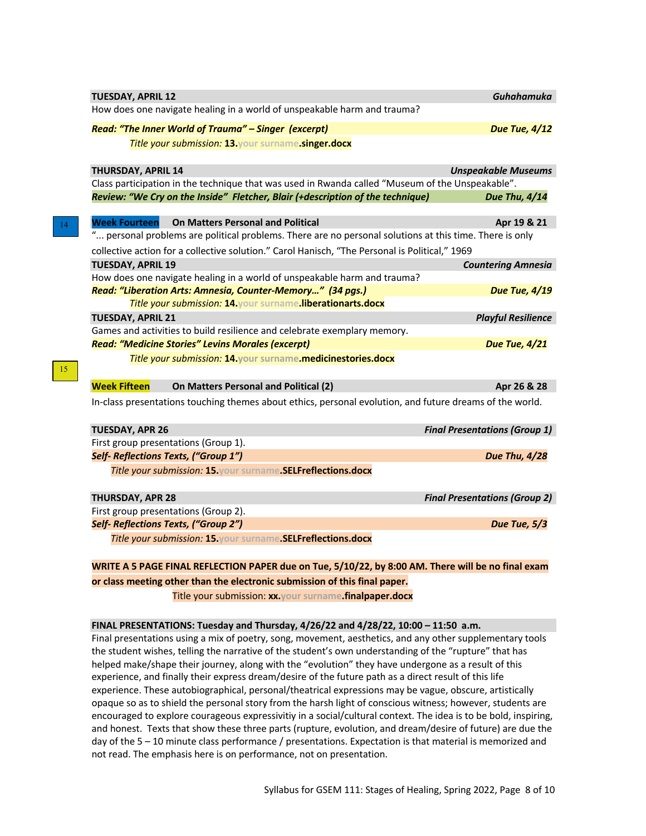| <b>TUESDAY, APRIL 12</b>  |                                                                                                          | <b>Guhahamuka</b>                    |
|---------------------------|----------------------------------------------------------------------------------------------------------|--------------------------------------|
|                           | How does one navigate healing in a world of unspeakable harm and trauma?                                 |                                      |
|                           | Read: "The Inner World of Trauma" - Singer (excerpt)                                                     | <b>Due Tue, 4/12</b>                 |
|                           | Title your submission: 13. your surname.singer.docx                                                      |                                      |
| <b>THURSDAY, APRIL 14</b> |                                                                                                          | <b>Unspeakable Museums</b>           |
|                           | Class participation in the technique that was used in Rwanda called "Museum of the Unspeakable".         |                                      |
|                           | Review: "We Cry on the Inside" Fletcher, Blair (+description of the technique)                           | Due Thu, 4/14                        |
| <b>Week Fourteen</b>      | <b>On Matters Personal and Political</b>                                                                 | Apr 19 & 21                          |
|                           | " personal problems are political problems. There are no personal solutions at this time. There is only  |                                      |
|                           | collective action for a collective solution." Carol Hanisch, "The Personal is Political," 1969           |                                      |
| <b>TUESDAY, APRIL 19</b>  |                                                                                                          | <b>Countering Amnesia</b>            |
|                           | How does one navigate healing in a world of unspeakable harm and trauma?                                 |                                      |
|                           | Read: "Liberation Arts: Amnesia, Counter-Memory" (34 pgs.)                                               | <b>Due Tue, 4/19</b>                 |
|                           | Title your submission: 14 your surname liberationarts.docx                                               |                                      |
| <b>TUESDAY, APRIL 21</b>  |                                                                                                          | <b>Playful Resilience</b>            |
|                           | Games and activities to build resilience and celebrate exemplary memory.                                 |                                      |
|                           | <b>Read: "Medicine Stories" Levins Morales (excerpt)</b>                                                 | <b>Due Tue, 4/21</b>                 |
|                           | Title your submission: 14. your surname.medicinestories.docx                                             |                                      |
| <b>Week Fifteen</b>       | On Matters Personal and Political (2)                                                                    | Apr 26 & 28                          |
|                           | In-class presentations touching themes about ethics, personal evolution, and future dreams of the world. |                                      |
| <b>TUESDAY, APR 26</b>    |                                                                                                          | <b>Final Presentations (Group 1)</b> |
|                           | First group presentations (Group 1).                                                                     |                                      |
|                           | Self- Reflections Texts, ("Group 1")                                                                     | <b>Due Thu, 4/28</b>                 |
|                           | Title your submission: 15 your surname.SELFreflections.docx                                              |                                      |
| <b>THURSDAY, APR 28</b>   |                                                                                                          | <b>Final Presentations (Group 2)</b> |
|                           | First group presentations (Group 2).                                                                     |                                      |
|                           | Self- Reflections Texts, ("Group 2")                                                                     | Due Tue, 5/3                         |
|                           | Title your submission: 15 your surname. SELFreflections.docx                                             |                                      |
|                           | WRITE A 5 PAGE FINAL REFLECTION PAPER due on Tue, 5/10/22, by 8:00 AM. There will be no final exam       |                                      |
|                           |                                                                                                          |                                      |

14

15

**or class meeting other than the electronic submission of this final paper.**

Title your submission: **xx.your surname.finalpaper.docx**

**FINAL PRESENTATIONS: Tuesday and Thursday, 4/26/22 and 4/28/22, 10:00 – 11:50 a.m.** 

Final presentations using a mix of poetry, song, movement, aesthetics, and any other supplementary tools the student wishes, telling the narrative of the student's own understanding of the "rupture" that has helped make/shape their journey, along with the "evolution" they have undergone as a result of this experience, and finally their express dream/desire of the future path as a direct result of this life experience. These autobiographical, personal/theatrical expressions may be vague, obscure, artistically opaque so as to shield the personal story from the harsh light of conscious witness; however, students are encouraged to explore courageous expressivitiy in a social/cultural context. The idea is to be bold, inspiring, and honest. Texts that show these three parts (rupture, evolution, and dream/desire of future) are due the day of the 5 – 10 minute class performance / presentations. Expectation is that material is memorized and not read. The emphasis here is on performance, not on presentation.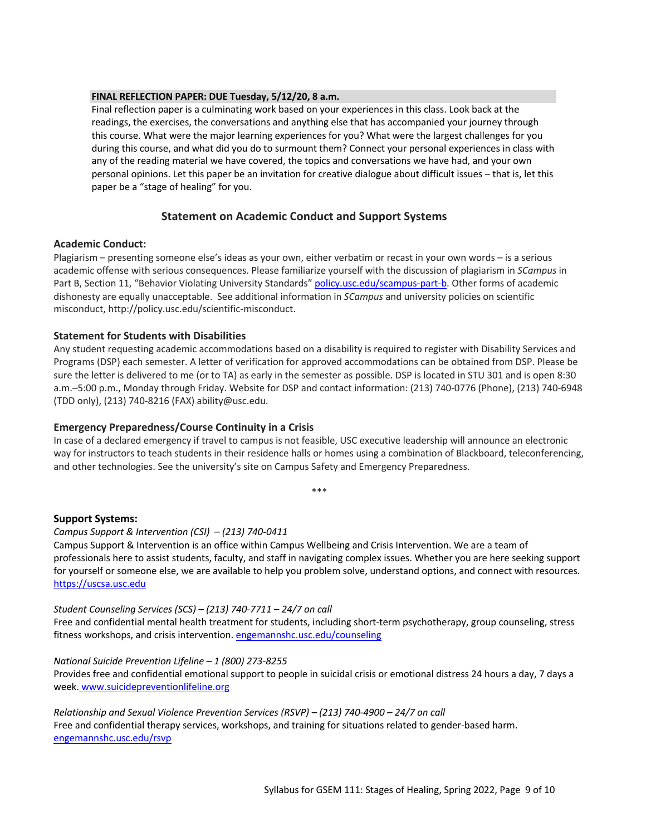# **FINAL REFLECTION PAPER: DUE Tuesday, 5/12/20, 8 a.m.**

Final reflection paper is a culminating work based on your experiences in this class. Look back at the readings, the exercises, the conversations and anything else that has accompanied your journey through this course. What were the major learning experiences for you? What were the largest challenges for you during this course, and what did you do to surmount them? Connect your personal experiences in class with any of the reading material we have covered, the topics and conversations we have had, and your own personal opinions. Let this paper be an invitation for creative dialogue about difficult issues – that is, let this paper be a "stage of healing" for you.

# **Statement on Academic Conduct and Support Systems**

# **Academic Conduct:**

Plagiarism – presenting someone else's ideas as your own, either verbatim or recast in your own words – is a serious academic offense with serious consequences. Please familiarize yourself with the discussion of plagiarism in *SCampus* in Part B, Section 11, "Behavior Violating University Standards" policy.usc.edu/scampus-part-b. Other forms of academic dishonesty are equally unacceptable. See additional information in *SCampus* and university policies on scientific misconduct, http://policy.usc.edu/scientific-misconduct.

# **Statement for Students with Disabilities**

Any student requesting academic accommodations based on a disability is required to register with Disability Services and Programs (DSP) each semester. A letter of verification for approved accommodations can be obtained from DSP. Please be sure the letter is delivered to me (or to TA) as early in the semester as possible. DSP is located in STU 301 and is open 8:30 a.m.–5:00 p.m., Monday through Friday. Website for DSP and contact information: (213) 740-0776 (Phone), (213) 740-6948 (TDD only), (213) 740-8216 (FAX) ability@usc.edu.

# **Emergency Preparedness/Course Continuity in a Crisis**

In case of a declared emergency if travel to campus is not feasible, USC executive leadership will announce an electronic way for instructors to teach students in their residence halls or homes using a combination of Blackboard, teleconferencing, and other technologies. See the university's site on Campus Safety and Emergency Preparedness.

\*\*\*

# **Support Systems:**

*Campus Support & Intervention (CSI) – (213) 740-0411*

Campus Support & Intervention is an office within Campus Wellbeing and Crisis Intervention. We are a team of professionals here to assist students, faculty, and staff in navigating complex issues. Whether you are here seeking support for yourself or someone else, we are available to help you problem solve, understand options, and connect with resources. https://uscsa.usc.edu

# *Student Counseling Services (SCS) – (213) 740-7711 – 24/7 on call*

Free and confidential mental health treatment for students, including short-term psychotherapy, group counseling, stress fitness workshops, and crisis intervention. engemannshc.usc.edu/counseling

# *National Suicide Prevention Lifeline – 1 (800) 273-8255*

Provides free and confidential emotional support to people in suicidal crisis or emotional distress 24 hours a day, 7 days a week. www.suicidepreventionlifeline.org

*Relationship and Sexual Violence Prevention Services (RSVP) – (213) 740-4900 – 24/7 on call* Free and confidential therapy services, workshops, and training for situations related to gender-based harm. engemannshc.usc.edu/rsvp